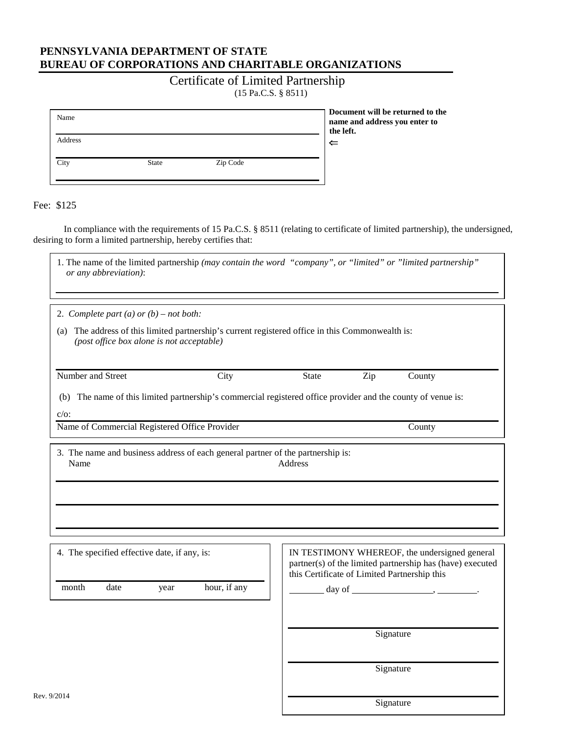## **PENNSYLVANIA DEPARTMENT OF STATE BUREAU OF CORPORATIONS AND CHARITABLE ORGANIZATIONS**

## Certificate of Limited Partnership (15 Pa.C.S. § 8511)

| Name    |              |          | name ar<br>the left. |
|---------|--------------|----------|----------------------|
| Address |              |          | $\leftarrow$         |
| City    | <b>State</b> | Zip Code |                      |

 **Document will be returned to the name and address you enter to** 

Fee: \$125

r

Rev.

In compliance with the requirements of 15 Pa.C.S. § 8511 (relating to certificate of limited partnership), the undersigned, desiring to form a limited partnership, hereby certifies that:

| 1. The name of the limited partnership (may contain the word "company", or "limited" or "limited partnership"<br>or any abbreviation):        |              |                                              |                  |                                                                                                            |
|-----------------------------------------------------------------------------------------------------------------------------------------------|--------------|----------------------------------------------|------------------|------------------------------------------------------------------------------------------------------------|
| 2. Complete part (a) or $(b)$ – not both:                                                                                                     |              |                                              |                  |                                                                                                            |
| (a) The address of this limited partnership's current registered office in this Commonwealth is:<br>(post office box alone is not acceptable) |              |                                              |                  |                                                                                                            |
| Number and Street                                                                                                                             | City         | <b>State</b>                                 | Zip              | County                                                                                                     |
| The name of this limited partnership's commercial registered office provider and the county of venue is:<br>(b)<br>$c/o$ :                    |              |                                              |                  |                                                                                                            |
| Name of Commercial Registered Office Provider                                                                                                 |              |                                              |                  | County                                                                                                     |
| 3. The name and business address of each general partner of the partnership is:<br>Name                                                       |              | Address                                      |                  |                                                                                                            |
| 4. The specified effective date, if any, is:<br>date<br>month<br>year                                                                         | hour, if any | this Certificate of Limited Partnership this | $day of \_\_\_\$ | IN TESTIMONY WHEREOF, the undersigned general<br>partner(s) of the limited partnership has (have) executed |
|                                                                                                                                               |              |                                              |                  | Signature                                                                                                  |
|                                                                                                                                               |              |                                              |                  | Signature                                                                                                  |
| 9/2014                                                                                                                                        |              |                                              |                  | Signature                                                                                                  |